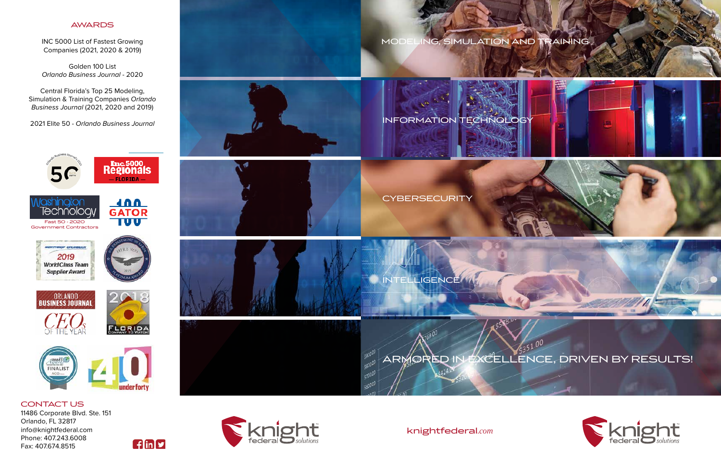# MODELING, SIMULATION AND TRAINING MODELING, SIMULATION AND TRAINING

knightfederal*.com* knightfederal*.com*

 $\mathcal{L}$ 

 $A^2$  and  $B^2$  and  $B^2$  and  $B^2$  and  $B^2$  and  $B^2$  and  $B^2$  and  $B^2$  and  $B^2$  and  $B^2$  and  $B^2$  and  $B^2$  and  $B^2$  and  $B^2$  and  $B^2$  and  $B^2$  and  $B^2$  and  $B^2$  and  $B^2$  and  $B^2$  and  $B^2$  and  $B^2$  and



GROWING COMPANIES INC 5000 List of Fastes Companies (2021, 2020 & 2019) INC 5000 List of Fastest Growing GOLDEN 100 LIST - ORLANDO

CONDOMING ENCE Orlando Business Journal - 2020 Golden 100 List SIMULATION & TRAINING COMPANIES - *Orlando Business Journal* - 2020

> Central Florida's Top 25 Modeling, Simulation & Training Companies Orlando *Business Journal* (2021, 2020 and 2019) Florida's Top 25 Modeling. s Journal (2021, 2020 and 2019) op 25 Modeling,  $2021, 2020$  and  $2015$

2021 Elite 50 - Orlando Business Journal 21 Elite 50 - Orlando Business Journal SIMULATION BUSILIESS JOUITION

CONTACT US 11486 Corporate Blvd. Ste. 151 Orlando, FL 32817 info@knightfederal.com Phone: 407.243.6008 Fax: 407.674.8515





## AWARDS